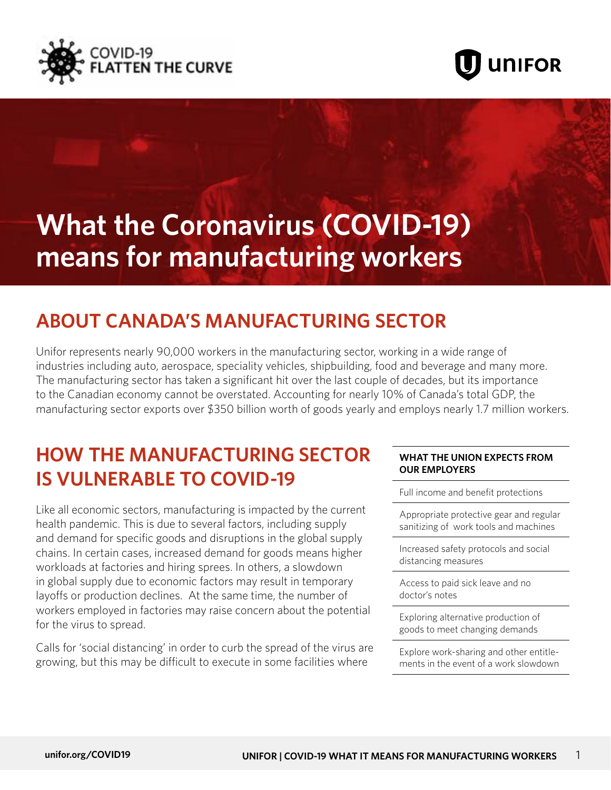



# **What the Coronavirus (COVID-19) means for manufacturing workers**

## **ABOUT CANADA'S MANUFACTURING SECTOR**

Unifor represents nearly 90,000 workers in the manufacturing sector, working in a wide range of industries including auto, aerospace, speciality vehicles, shipbuilding, food and beverage and many more. The manufacturing sector has taken a significant hit over the last couple of decades, but its importance to the Canadian economy cannot be overstated. Accounting for nearly 10% of Canada's total GDP, the manufacturing sector exports over \$350 billion worth of goods yearly and employs nearly 1.7 million workers.

### **HOW THE MANUFACTURING SECTOR IS VULNERABLE TO COVID-19**

Like all economic sectors, manufacturing is impacted by the current health pandemic. This is due to several factors, including supply and demand for specific goods and disruptions in the global supply chains. In certain cases, increased demand for goods means higher workloads at factories and hiring sprees. In others, a slowdown in global supply due to economic factors may result in temporary layoffs or production declines. At the same time, the number of workers employed in factories may raise concern about the potential for the virus to spread.

Calls for 'social distancing' in order to curb the spread of the virus are growing, but this may be difficult to execute in some facilities where

#### **WHAT THE UNION EXPECTS FROM OUR EMPLOYERS**

Full income and benefit protections

Appropriate protective gear and regular sanitizing of work tools and machines

Increased safety protocols and social distancing measures

Access to paid sick leave and no doctor's notes

Exploring alternative production of goods to meet changing demands

Explore work-sharing and other entitlements in the event of a work slowdown